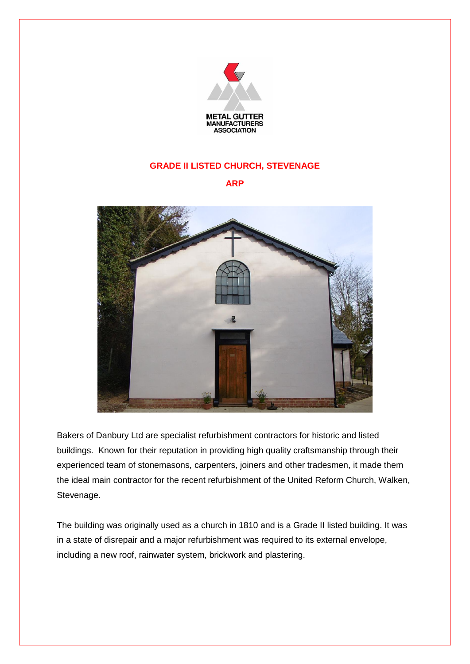

## **GRADE II LISTED CHURCH, STEVENAGE**

**ARP**



Bakers of Danbury Ltd are specialist refurbishment contractors for historic and listed buildings. Known for their reputation in providing high quality craftsmanship through their experienced team of stonemasons, carpenters, joiners and other tradesmen, it made them the ideal main contractor for the recent refurbishment of the United Reform Church, Walken, Stevenage.

The building was originally used as a church in 1810 and is a Grade II listed building. It was in a state of disrepair and a major refurbishment was required to its external envelope, including a new roof, rainwater system, brickwork and plastering.